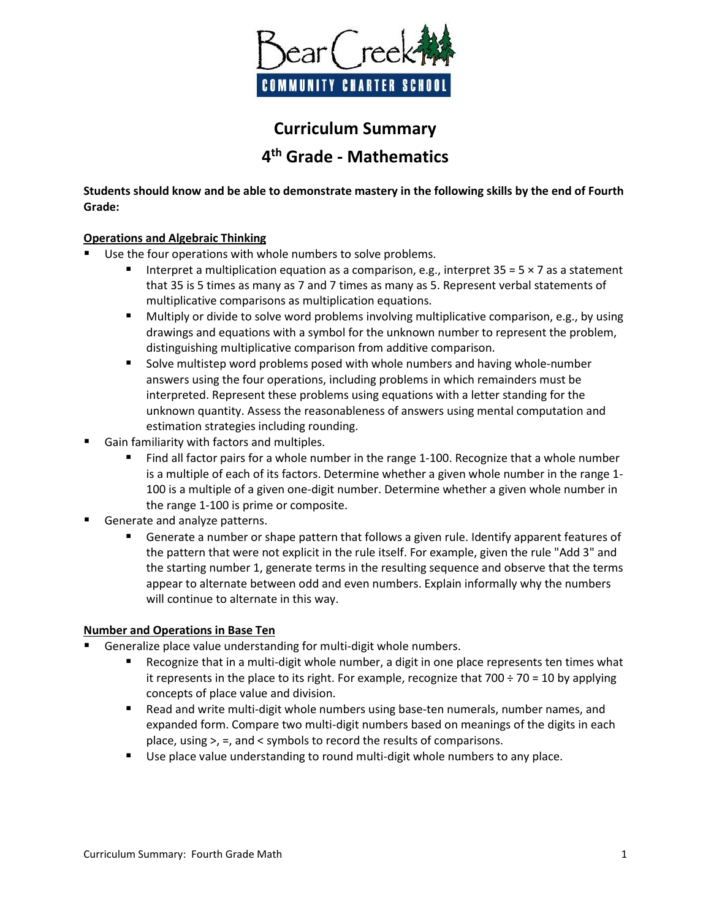

# **Curriculum Summary 4 th Grade - Mathematics**

**Students should know and be able to demonstrate mastery in the following skills by the end of Fourth Grade:**

## **Operations and Algebraic Thinking**

- Use the four operations with whole numbers to solve problems.
	- Interpret a multiplication equation as a comparison, e.g., interpret  $35 = 5 \times 7$  as a statement that 35 is 5 times as many as 7 and 7 times as many as 5. Represent verbal statements of multiplicative comparisons as multiplication equations.
	- **Multiply or divide to solve word problems involving multiplicative comparison, e.g., by using** drawings and equations with a symbol for the unknown number to represent the problem, distinguishing multiplicative comparison from additive comparison.
	- **Solve multistep word problems posed with whole numbers and having whole-number** answers using the four operations, including problems in which remainders must be interpreted. Represent these problems using equations with a letter standing for the unknown quantity. Assess the reasonableness of answers using mental computation and estimation strategies including rounding.
- Gain familiarity with factors and multiples.
	- **Find all factor pairs for a whole number in the range 1-100. Recognize that a whole number** is a multiple of each of its factors. Determine whether a given whole number in the range 1- 100 is a multiple of a given one-digit number. Determine whether a given whole number in the range 1-100 is prime or composite.
- Generate and analyze patterns.
	- Generate a number or shape pattern that follows a given rule. Identify apparent features of the pattern that were not explicit in the rule itself. For example, given the rule "Add 3" and the starting number 1, generate terms in the resulting sequence and observe that the terms appear to alternate between odd and even numbers. Explain informally why the numbers will continue to alternate in this way.

## **Number and Operations in Base Ten**

- Generalize place value understanding for multi-digit whole numbers.
	- Recognize that in a multi-digit whole number, a digit in one place represents ten times what it represents in the place to its right. For example, recognize that  $700 \div 70 = 10$  by applying concepts of place value and division.
	- Read and write multi-digit whole numbers using base-ten numerals, number names, and expanded form. Compare two multi-digit numbers based on meanings of the digits in each place, using >, =, and < symbols to record the results of comparisons.
	- Use place value understanding to round multi-digit whole numbers to any place.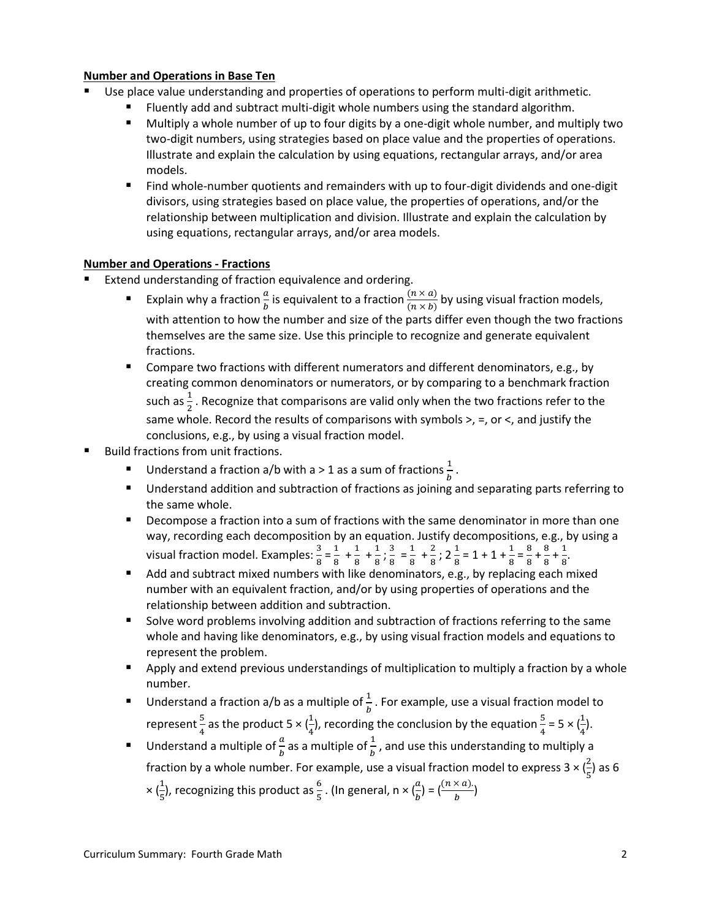## **Number and Operations in Base Ten**

- Use place value understanding and properties of operations to perform multi-digit arithmetic.
	- Fluently add and subtract multi-digit whole numbers using the standard algorithm.
	- Multiply a whole number of up to four digits by a one-digit whole number, and multiply two two-digit numbers, using strategies based on place value and the properties of operations. Illustrate and explain the calculation by using equations, rectangular arrays, and/or area models.
	- Find whole-number quotients and remainders with up to four-digit dividends and one-digit divisors, using strategies based on place value, the properties of operations, and/or the relationship between multiplication and division. Illustrate and explain the calculation by using equations, rectangular arrays, and/or area models.

## **Number and Operations - Fractions**

- Extend understanding of fraction equivalence and ordering.
	- **Explain why a fraction**  $\frac{a}{b}$  is equivalent to a fraction  $\frac{(n \times a)}{(n \times b)}$  by using visual fraction models, with attention to how the number and size of the parts differ even though the two fractions themselves are the same size. Use this principle to recognize and generate equivalent fractions.
	- Compare two fractions with different numerators and different denominators, e.g., by creating common denominators or numerators, or by comparing to a benchmark fraction such as  $\frac{1}{2}$  . Recognize that comparisons are valid only when the two fractions refer to the same whole. Record the results of comparisons with symbols  $>$ ,  $=$ , or  $\lt$ , and justify the conclusions, e.g., by using a visual fraction model.
- Build fractions from unit fractions.
	- Understand a fraction a/b with a > 1 as a sum of fractions  $\frac{1}{b}$ .
	- **Understand addition and subtraction of fractions as joining and separating parts referring to** the same whole.
	- **Decompose a fraction into a sum of fractions with the same denominator in more than one** way, recording each decomposition by an equation. Justify decompositions, e.g., by using a visual fraction model. Examples:  $\frac{3}{8} = \frac{1}{8}$  $\frac{1}{8}$  +  $\frac{1}{8}$  $\frac{1}{8}$  +  $\frac{1}{8}$  $\frac{1}{8}$ ;  $\frac{3}{8}$  $\frac{3}{8} = \frac{1}{8}$  $\frac{1}{8} + \frac{2}{8}$  $\frac{2}{8}$ ; 2 $\frac{1}{8}$  = 1 + 1 +  $\frac{1}{8}$  =  $\frac{8}{8}$  $\frac{8}{8} + \frac{8}{8}$  $\frac{8}{8} + \frac{1}{8}$  $\frac{1}{8}$ .
	- Add and subtract mixed numbers with like denominators, e.g., by replacing each mixed number with an equivalent fraction, and/or by using properties of operations and the relationship between addition and subtraction.
	- Solve word problems involving addition and subtraction of fractions referring to the same whole and having like denominators, e.g., by using visual fraction models and equations to represent the problem.
	- **Apply and extend previous understandings of multiplication to multiply a fraction by a whole** number.
	- **IDED** Understand a fraction a/b as a multiple of  $\frac{1}{b}$  . For example, use a visual fraction model to represent  $\frac{5}{4}$  $\frac{5}{4}$  as the product 5  $\times$  ( $\frac{1}{4}$ ), recording the conclusion by the equation  $\frac{5}{4}$  = 5  $\times$  ( $\frac{1}{4}$  $\frac{1}{4}$ ).
	- **IDED** Understand a multiple of  $\frac{a}{b}$  as a multiple of  $\frac{1}{b}$ , and use this understanding to multiply a fraction by a whole number. For example, use a visual fraction model to express 3  $\times(\frac{2}{5})$  as 6  $\times(\frac{1}{5})$ , recognizing this product as  $\frac{6}{5}$  . (In general, n  $\times(\frac{a}{b})=(\frac{(n\times a)}{b})$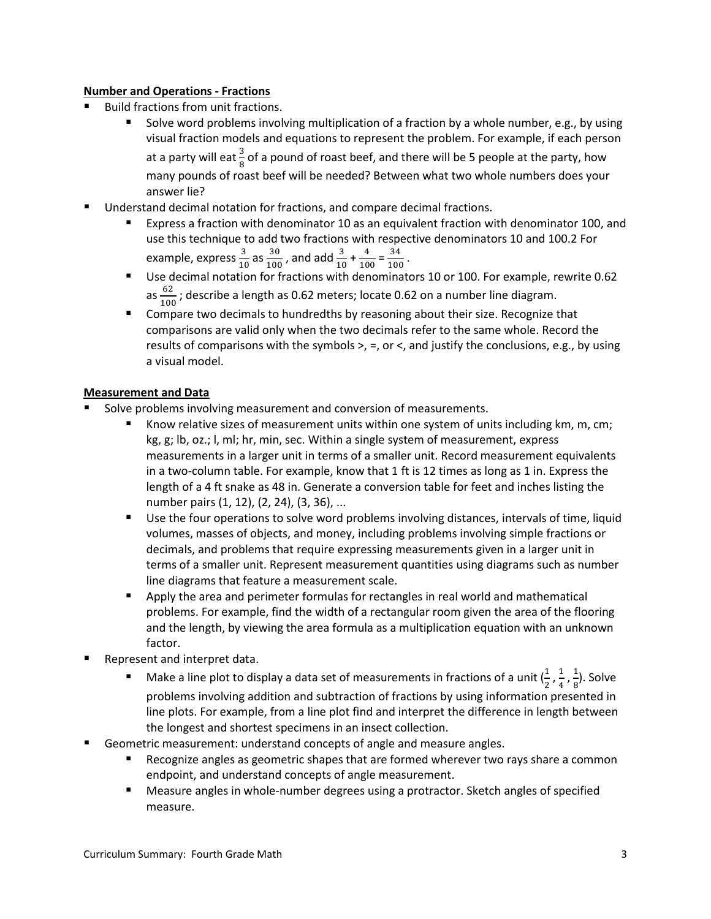## **Number and Operations - Fractions**

- Build fractions from unit fractions.
	- Solve word problems involving multiplication of a fraction by a whole number, e.g., by using visual fraction models and equations to represent the problem. For example, if each person at a party will eat  $\frac{3}{8}$  of a pound of roast beef, and there will be 5 people at the party, how many pounds of roast beef will be needed? Between what two whole numbers does your answer lie?
- Understand decimal notation for fractions, and compare decimal fractions.
	- Express a fraction with denominator 10 as an equivalent fraction with denominator 100, and use this technique to add two fractions with respective denominators 10 and 100.2 For example, express  $\frac{3}{10}$  as  $\frac{30}{100}$  $\frac{30}{100}$ , and add  $\frac{3}{10} + \frac{4}{10}$  $\frac{4}{100} = \frac{34}{100}$  $\frac{37}{100}$ .
	- Use decimal notation for fractions with denominators 10 or 100. For example, rewrite 0.62 as  $\frac{62}{100}$  $\frac{02}{100}$ ; describe a length as 0.62 meters; locate 0.62 on a number line diagram.
	- Compare two decimals to hundredths by reasoning about their size. Recognize that comparisons are valid only when the two decimals refer to the same whole. Record the results of comparisons with the symbols  $>$ ,  $=$ , or  $\lt$ , and justify the conclusions, e.g., by using a visual model.

# **Measurement and Data**

- Solve problems involving measurement and conversion of measurements.
	- Know relative sizes of measurement units within one system of units including km, m, cm; kg, g; lb, oz.; l, ml; hr, min, sec. Within a single system of measurement, express measurements in a larger unit in terms of a smaller unit. Record measurement equivalents in a two-column table. For example, know that 1 ft is 12 times as long as 1 in. Express the length of a 4 ft snake as 48 in. Generate a conversion table for feet and inches listing the number pairs (1, 12), (2, 24), (3, 36), ...
	- Use the four operations to solve word problems involving distances, intervals of time, liquid volumes, masses of objects, and money, including problems involving simple fractions or decimals, and problems that require expressing measurements given in a larger unit in terms of a smaller unit. Represent measurement quantities using diagrams such as number line diagrams that feature a measurement scale.
	- **P** Apply the area and perimeter formulas for rectangles in real world and mathematical problems. For example, find the width of a rectangular room given the area of the flooring and the length, by viewing the area formula as a multiplication equation with an unknown factor.
- Represent and interpret data.
	- Make a line plot to display a data set of measurements in fractions of a unit  $(\frac{1}{2}, \frac{1}{4})$  $\frac{1}{4}$ ,  $\frac{1}{8}$  $\frac{1}{8}$ ). Solve problems involving addition and subtraction of fractions by using information presented in line plots. For example, from a line plot find and interpret the difference in length between the longest and shortest specimens in an insect collection.
- Geometric measurement: understand concepts of angle and measure angles.
	- Recognize angles as geometric shapes that are formed wherever two rays share a common endpoint, and understand concepts of angle measurement.
	- Measure angles in whole-number degrees using a protractor. Sketch angles of specified measure.